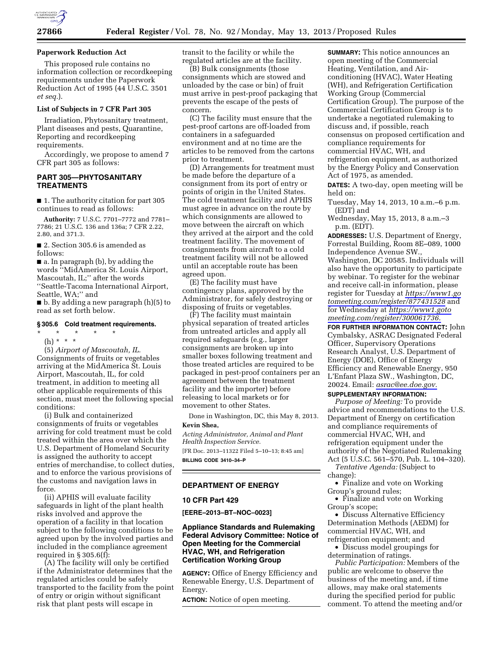

#### **Paperwork Reduction Act**

This proposed rule contains no information collection or recordkeeping requirements under the Paperwork Reduction Act of 1995 (44 U.S.C. 3501 *et seq.*).

# **List of Subjects in 7 CFR Part 305**

Irradiation, Phytosanitary treatment, Plant diseases and pests, Quarantine, Reporting and recordkeeping requirements.

Accordingly, we propose to amend 7 CFR part 305 as follows:

# **PART 305—PHYTOSANITARY TREATMENTS**

■ 1. The authority citation for part 305 continues to read as follows:

**Authority:** 7 U.S.C. 7701–7772 and 7781– 7786; 21 U.S.C. 136 and 136a; 7 CFR 2.22, 2.80, and 371.3.

■ 2. Section 305.6 is amended as follows:

■ a. In paragraph (b), by adding the words ''MidAmerica St. Louis Airport, Mascoutah, IL;'' after the words ''Seattle-Tacoma International Airport, Seattle, WA;'' and

■ b. By adding a new paragraph (h)(5) to read as set forth below.

#### **§ 305.6 Cold treatment requirements.**

\* \* \* \* \* (h) \* \* \*

(5) *Airport of Mascoutah, IL.*  Consignments of fruits or vegetables arriving at the MidAmerica St. Louis Airport, Mascoutah, IL, for cold treatment, in addition to meeting all other applicable requirements of this section, must meet the following special conditions:

(i) Bulk and containerized consignments of fruits or vegetables arriving for cold treatment must be cold treated within the area over which the U.S. Department of Homeland Security is assigned the authority to accept entries of merchandise, to collect duties, and to enforce the various provisions of the customs and navigation laws in force.

(ii) APHIS will evaluate facility safeguards in light of the plant health risks involved and approve the operation of a facility in that location subject to the following conditions to be agreed upon by the involved parties and included in the compliance agreement required in § 305.6(f):

(A) The facility will only be certified if the Administrator determines that the regulated articles could be safely transported to the facility from the point of entry or origin without significant risk that plant pests will escape in

transit to the facility or while the regulated articles are at the facility.

(B) Bulk consignments (those consignments which are stowed and unloaded by the case or bin) of fruit must arrive in pest-proof packaging that prevents the escape of the pests of concern.

(C) The facility must ensure that the pest-proof cartons are off-loaded from containers in a safeguarded environment and at no time are the articles to be removed from the cartons prior to treatment.

(D) Arrangements for treatment must be made before the departure of a consignment from its port of entry or points of origin in the United States. The cold treatment facility and APHIS must agree in advance on the route by which consignments are allowed to move between the aircraft on which they arrived at the airport and the cold treatment facility. The movement of consignments from aircraft to a cold treatment facility will not be allowed until an acceptable route has been agreed upon.

(E) The facility must have contingency plans, approved by the Administrator, for safely destroying or disposing of fruits or vegetables.

(F) The facility must maintain physical separation of treated articles from untreated articles and apply all required safeguards (e.g., larger consignments are broken up into smaller boxes following treatment and those treated articles are required to be packaged in pest-proof containers per an agreement between the treatment facility and the importer) before releasing to local markets or for movement to other States.

Done in Washington, DC, this May 8, 2013. **Kevin Shea,** 

*Acting Administrator, Animal and Plant Health Inspection Service.* 

[FR Doc. 2013–11322 Filed 5–10–13; 8:45 am] **BILLING CODE 3410–34–P** 

#### **DEPARTMENT OF ENERGY**

### **10 CFR Part 429**

**[EERE–2013–BT–NOC–0023]** 

# **Appliance Standards and Rulemaking Federal Advisory Committee: Notice of Open Meeting for the Commercial HVAC, WH, and Refrigeration Certification Working Group**

**AGENCY:** Office of Energy Efficiency and Renewable Energy, U.S. Department of Energy.

**ACTION:** Notice of open meeting.

**SUMMARY:** This notice announces an open meeting of the Commercial Heating, Ventilation, and Airconditioning (HVAC), Water Heating (WH), and Refrigeration Certification Working Group (Commercial Certification Group). The purpose of the Commercial Certification Group is to undertake a negotiated rulemaking to discuss and, if possible, reach consensus on proposed certification and compliance requirements for commercial HVAC, WH, and refrigeration equipment, as authorized by the Energy Policy and Conservation Act of 1975, as amended.

**DATES:** A two-day, open meeting will be held on:

- Tuesday, May 14, 2013, 10 a.m.–6 p.m. (EDT) and
- Wednesday, May 15, 2013, 8 a.m.–3 p.m. (EDT).

**ADDRESSES:** U.S. Department of Energy, Forrestal Building, Room 8E–089, 1000 Independence Avenue SW., Washington, DC 20585. Individuals will also have the opportunity to participate by webinar. To register for the webinar and receive call-in information, please register for Tuesday at *[https://www1.go](https://www1.gotomeeting.com/register/877431528) [tomeeting.com/register/877431528](https://www1.gotomeeting.com/register/877431528)* and for Wednesday at *[https://www1.goto](https://www1.gotomeeting.com/register/300061736) [meeting.com/register/300061736.](https://www1.gotomeeting.com/register/300061736)* 

**FOR FURTHER INFORMATION CONTACT:** John Cymbalsky, ASRAC Designated Federal Officer, Supervisory Operations Research Analyst, U.S. Department of Energy (DOE), Office of Energy Efficiency and Renewable Energy, 950 L'Enfant Plaza SW., Washington, DC, 20024. Email: *[asrac@ee.doe.gov.](mailto:asrac@ee.doe.gov)*  **SUPPLEMENTARY INFORMATION:** 

*Purpose of Meeting:* To provide advice and recommendations to the U.S. Department of Energy on certification and compliance requirements of commercial HVAC, WH, and refrigeration equipment under the authority of the Negotiated Rulemaking Act (5 U.S.C. 561–570, Pub. L. 104–320).

*Tentative Agenda:* (Subject to change):

• Finalize and vote on Working Group's ground rules;

• Finalize and vote on Working Group's scope;

• Discuss Alternative Efficiency Determination Methods (AEDM) for commercial HVAC, WH, and refrigeration equipment; and

• Discuss model groupings for determination of ratings.

*Public Participation:* Members of the public are welcome to observe the business of the meeting and, if time allows, may make oral statements during the specified period for public comment. To attend the meeting and/or